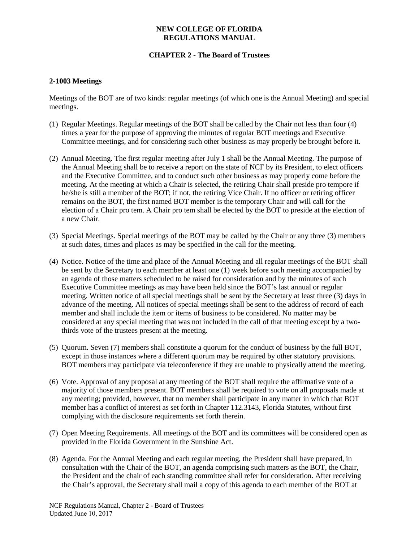#### **NEW COLLEGE OF FLORIDA REGULATIONS MANUAL**

# **CHAPTER 2 - The Board of Trustees**

## **2-1003 Meetings**

Meetings of the BOT are of two kinds: regular meetings (of which one is the Annual Meeting) and special meetings.

- (1) Regular Meetings. Regular meetings of the BOT shall be called by the Chair not less than four (4) times a year for the purpose of approving the minutes of regular BOT meetings and Executive Committee meetings, and for considering such other business as may properly be brought before it.
- (2) Annual Meeting. The first regular meeting after July 1 shall be the Annual Meeting. The purpose of the Annual Meeting shall be to receive a report on the state of NCF by its President, to elect officers and the Executive Committee, and to conduct such other business as may properly come before the meeting. At the meeting at which a Chair is selected, the retiring Chair shall preside pro tempore if he/she is still a member of the BOT; if not, the retiring Vice Chair. If no officer or retiring officer remains on the BOT, the first named BOT member is the temporary Chair and will call for the election of a Chair pro tem. A Chair pro tem shall be elected by the BOT to preside at the election of a new Chair.
- (3) Special Meetings. Special meetings of the BOT may be called by the Chair or any three (3) members at such dates, times and places as may be specified in the call for the meeting.
- (4) Notice. Notice of the time and place of the Annual Meeting and all regular meetings of the BOT shall be sent by the Secretary to each member at least one (1) week before such meeting accompanied by an agenda of those matters scheduled to be raised for consideration and by the minutes of such Executive Committee meetings as may have been held since the BOT's last annual or regular meeting. Written notice of all special meetings shall be sent by the Secretary at least three (3) days in advance of the meeting. All notices of special meetings shall be sent to the address of record of each member and shall include the item or items of business to be considered. No matter may be considered at any special meeting that was not included in the call of that meeting except by a twothirds vote of the trustees present at the meeting.
- (5) Quorum. Seven (7) members shall constitute a quorum for the conduct of business by the full BOT, except in those instances where a different quorum may be required by other statutory provisions. BOT members may participate via teleconference if they are unable to physically attend the meeting.
- (6) Vote. Approval of any proposal at any meeting of the BOT shall require the affirmative vote of a majority of those members present. BOT members shall be required to vote on all proposals made at any meeting; provided, however, that no member shall participate in any matter in which that BOT member has a conflict of interest as set forth in Chapter 112.3143, Florida Statutes, without first complying with the disclosure requirements set forth therein.
- (7) Open Meeting Requirements. All meetings of the BOT and its committees will be considered open as provided in the Florida Government in the Sunshine Act.
- (8) Agenda. For the Annual Meeting and each regular meeting, the President shall have prepared, in consultation with the Chair of the BOT, an agenda comprising such matters as the BOT, the Chair, the President and the chair of each standing committee shall refer for consideration. After receiving the Chair's approval, the Secretary shall mail a copy of this agenda to each member of the BOT at